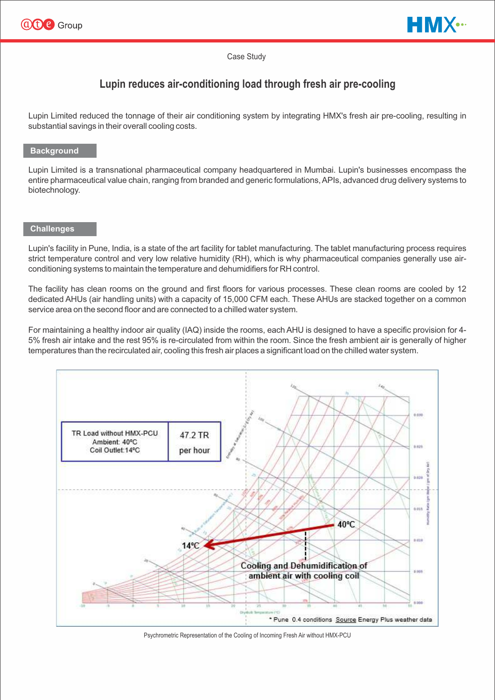



#### Case Study

# **Lupin reduces air-conditioning load through fresh air pre-cooling**

Lupin Limited reduced the tonnage of their air conditioning system by integrating HMX's fresh air pre-cooling, resulting in substantial savings in their overall cooling costs.

### **Background**

Lupin Limited is a transnational pharmaceutical company headquartered in Mumbai. Lupin's businesses encompass the entire pharmaceutical value chain, ranging from branded and generic formulations, APIs, advanced drug delivery systems to biotechnology.

#### **Challenges**

Lupin's facility in Pune, India, is a state of the art facility for tablet manufacturing. The tablet manufacturing process requires strict temperature control and very low relative humidity (RH), which is why pharmaceutical companies generally use airconditioning systems to maintain the temperature and dehumidifiers for RH control.

The facility has clean rooms on the ground and first floors for various processes. These clean rooms are cooled by 12 dedicated AHUs (air handling units) with a capacity of 15,000 CFM each. These AHUs are stacked together on a common service area on the second floor and are connected to a chilled water system.

For maintaining a healthy indoor air quality (IAQ) inside the rooms, each AHU is designed to have a specific provision for 4- 5% fresh air intake and the rest 95% is re-circulated from within the room. Since the fresh ambient air is generally of higher temperatures than the recirculated air, cooling this fresh air places a significant load on the chilled water system.



Psychrometric Representation of the Cooling of Incoming Fresh Air without HMX-PCU